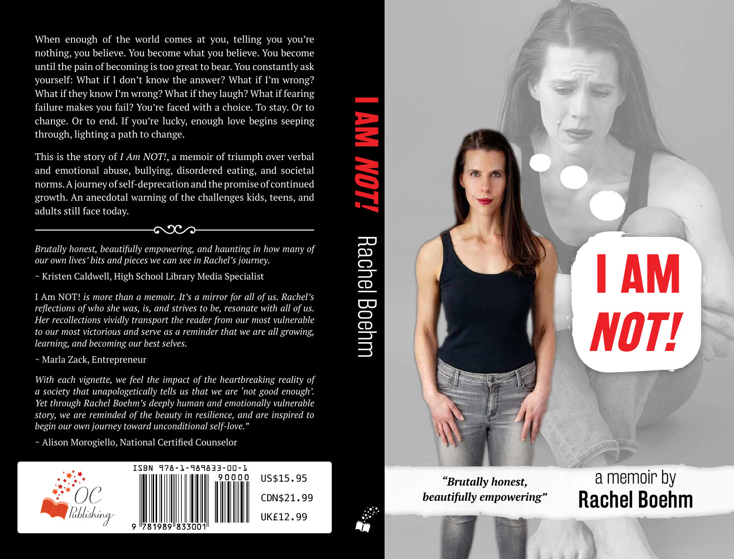When enough of the world comes at you, telling you you're nothing, you believe. You become what you believe. You become until the pain of becoming is too great to bear. You constantly ask yourself: What if I don't know the answer? What if I'm wrong? What if they know I'm wrong? What if they laugh? What if fearing failure makes you fail? You're faced with a choice. To stay. Or to change. Or to end. If you're lucky, enough love begins seeping through, lighting a path to change.

This is the story of *I Am NOT!*, a memoir of triumph over verbal and emotional abuse, bullying, disordered eating, and societal norms. A journey of self-deprecation and the promise of continued growth. An anecdotal warning of the challenges kids, teens, and adults still face today.

*Brutally honest, beautifully empowering, and haunting in how many of our own lives' bits and pieces we can see in Rachel's journey.* 

 $\sim 2$ 

~ Kristen Caldwell, High School Library Media Specialist

I Am NOT! *is more than a memoir. It's a mirror for all of us. Rachel's reflections of who she was, is, and strives to be, resonate with all of us. Her recollections vividly transport the reader from our most vulnerable to our most victorious and serve as a reminder that we are all growing, learning, and becoming our best selves.*

~ Marla Zack, Entrepreneur

*With each vignette, we feel the impact of the heartbreaking reality of a society that unapologetically tells us that we are 'not good enough'. Yet through Rachel Boehm's deeply human and emotionally vulnerable story, we are reminded of the beauty in resilience, and are inspired to begin our own journey toward unconditional self-love."* 

~ Alison Morogiello, National Certified Counselor





**NOT!** *"Brutally honest, beautifully empowering"*

a memoir by Rachel Boehm

**I AM**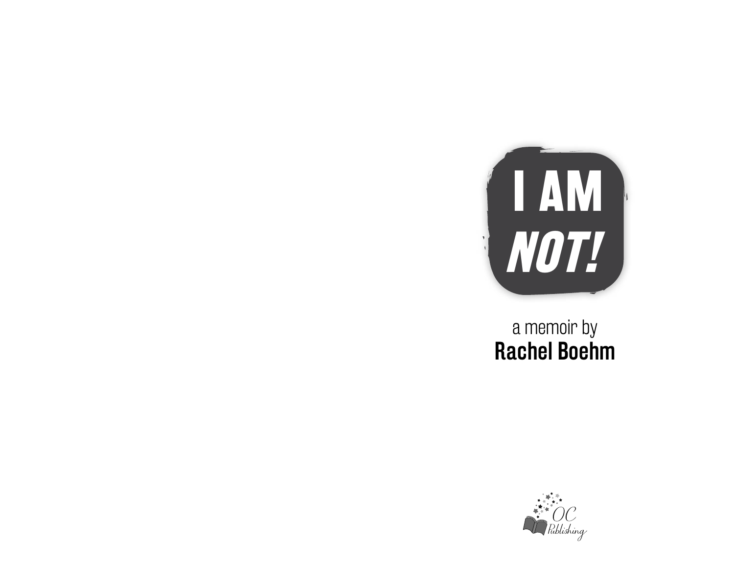

# a memoir by Rachel Boehm

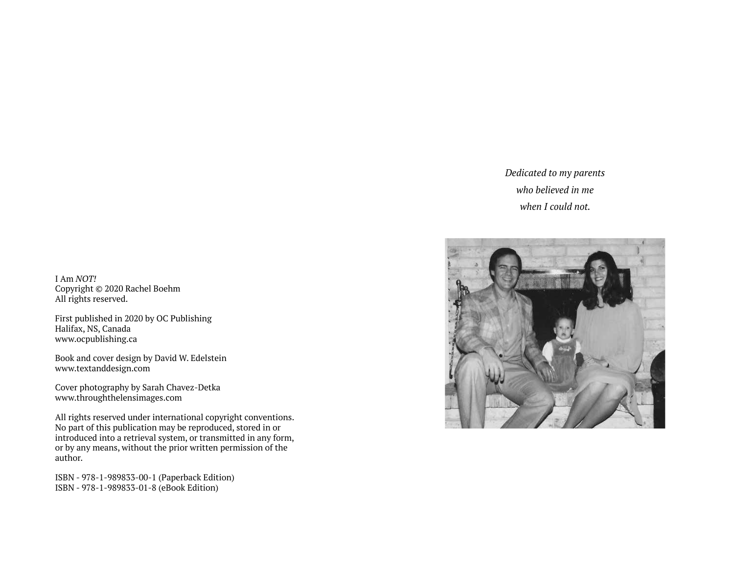## *Dedicated to my parents who believed in me when I could not.*



I Am *NOT!* Copyright © 2020 Rachel Boehm All rights reserved.

First published in 2020 by OC Publishing Halifax, NS, Canada www.ocpublishing.ca

Book and cover design by David W. Edelstein www.textanddesign.com

Cover photography by Sarah Chavez-Detka www.throughthelensimages.com

All rights reserved under international copyright conventions. No part of this publication may be reproduced, stored in or introduced into a retrieval system, or transmitted in any form, or by any means, without the prior written permission of the author.

ISBN - 978-1-989833-00-1 (Paperback Edition) ISBN - 978-1-989833-01-8 (eBook Edition)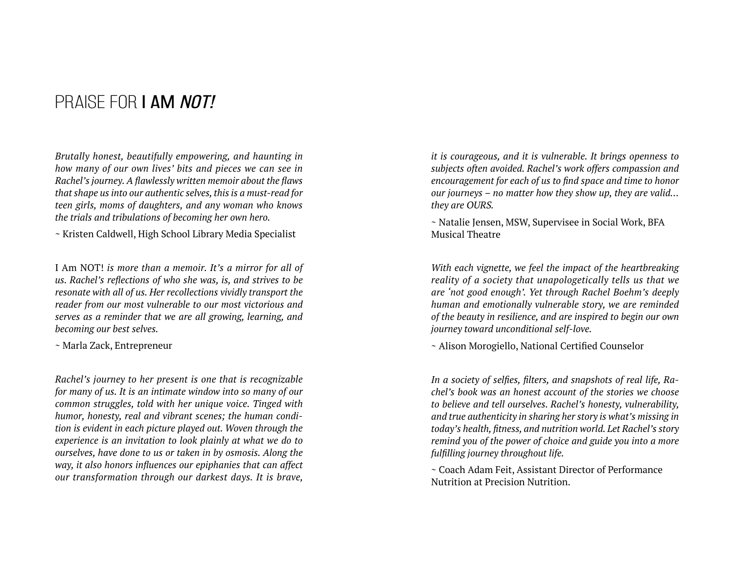## PRAISE FOR **I AM NOT!**

*Brutally honest, beautifully empowering, and haunting in how many of our own lives' bits and pieces we can see in Rachel's journey. A flawlessly written memoir about the flaws that shape us into our authentic selves, this is a must-read for teen girls, moms of daughters, and any woman who knows the trials and tribulations of becoming her own hero.* 

~ Kristen Caldwell, High School Library Media Specialist

I Am NOT! *is more than a memoir. It's a mirror for all of us. Rachel's reflections of who she was, is, and strives to be resonate with all of us. Her recollections vividly transport the reader from our most vulnerable to our most victorious and serves as a reminder that we are all growing, learning, and becoming our best selves.*

~ Marla Zack, Entrepreneur

*Rachel's journey to her present is one that is recognizable for many of us. It is an intimate window into so many of our common struggles, told with her unique voice. Tinged with humor, honesty, real and vibrant scenes; the human condition is evident in each picture played out. Woven through the experience is an invitation to look plainly at what we do to ourselves, have done to us or taken in by osmosis. Along the way, it also honors influences our epiphanies that can affect our transformation through our darkest days. It is brave,* 

*it is courageous, and it is vulnerable. It brings openness to subjects often avoided. Rachel's work offers compassion and encouragement for each of us to find space and time to honor our journeys – no matter how they show up, they are valid… they are OURS.*

~ Natalie Jensen, MSW, Supervisee in Social Work, BFA Musical Theatre

*With each vignette, we feel the impact of the heartbreaking reality of a society that unapologetically tells us that we are 'not good enough'. Yet through Rachel Boehm's deeply human and emotionally vulnerable story, we are reminded of the beauty in resilience, and are inspired to begin our own journey toward unconditional self-love.* 

~ Alison Morogiello, National Certified Counselor

*In a society of selfies, filters, and snapshots of real life, Rachel's book was an honest account of the stories we choose to believe and tell ourselves. Rachel's honesty, vulnerability, and true authenticity in sharing her story is what's missing in today's health, fitness, and nutrition world. Let Rachel's story remind you of the power of choice and guide you into a more fulfilling journey throughout life.*

~ Coach Adam Feit, Assistant Director of Performance Nutrition at Precision Nutrition.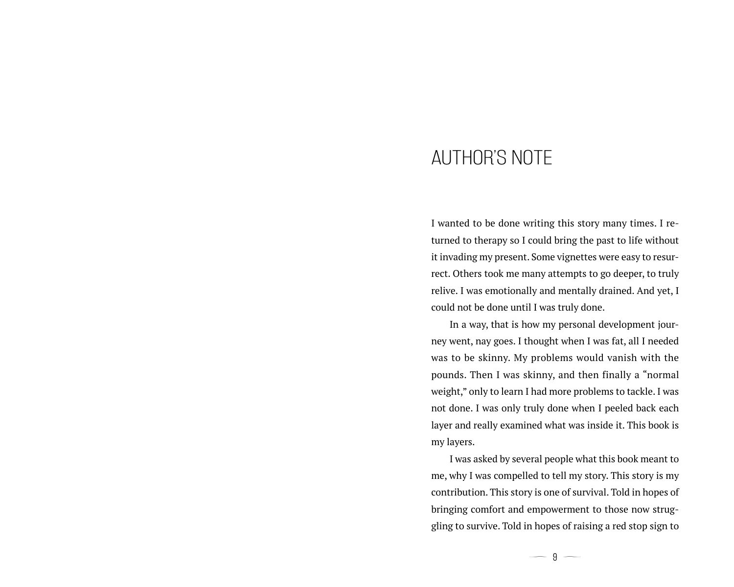## AUTHOR'S NOTE

I wanted to be done writing this story many times. I returned to therapy so I could bring the past to life without it invading my present. Some vignettes were easy to resurrect. Others took me many attempts to go deeper, to truly relive. I was emotionally and mentally drained. And yet, I could not be done until I was truly done.

In a way, that is how my personal development journey went, nay goes. I thought when I was fat, all I needed was to be skinny. My problems would vanish with the pounds. Then I was skinny, and then finally a "normal weight," only to learn I had more problems to tackle. I was not done. I was only truly done when I peeled back each layer and really examined what was inside it. This book is my layers.

I was asked by several people what this book meant to me, why I was compelled to tell my story. This story is my contribution. This story is one of survival. Told in hopes of bringing comfort and empowerment to those now struggling to survive. Told in hopes of raising a red stop sign to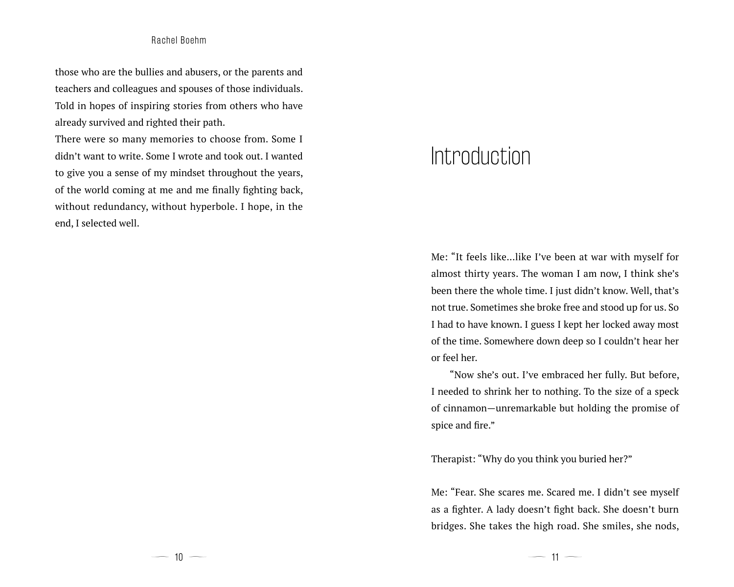those who are the bullies and abusers, or the parents and teachers and colleagues and spouses of those individuals. Told in hopes of inspiring stories from others who have already survived and righted their path.

There were so many memories to choose from. Some I didn't want to write. Some I wrote and took out. I wanted to give you a sense of my mindset throughout the years, of the world coming at me and me finally fighting back, without redundancy, without hyperbole. I hope, in the end, I selected well.

## **Introduction**

Me: "It feels like...like I've been at war with myself for almost thirty years. The woman I am now, I think she's been there the whole time. I just didn't know. Well, that's not true. Sometimes she broke free and stood up for us. So I had to have known. I guess I kept her locked away most of the time. Somewhere down deep so I couldn't hear her or feel her.

"Now she's out. I've embraced her fully. But before, I needed to shrink her to nothing. To the size of a speck of cinnamon—unremarkable but holding the promise of spice and fire."

Therapist: "Why do you think you buried her?"

Me: "Fear. She scares me. Scared me. I didn't see myself as a fighter. A lady doesn't fight back. She doesn't burn bridges. She takes the high road. She smiles, she nods,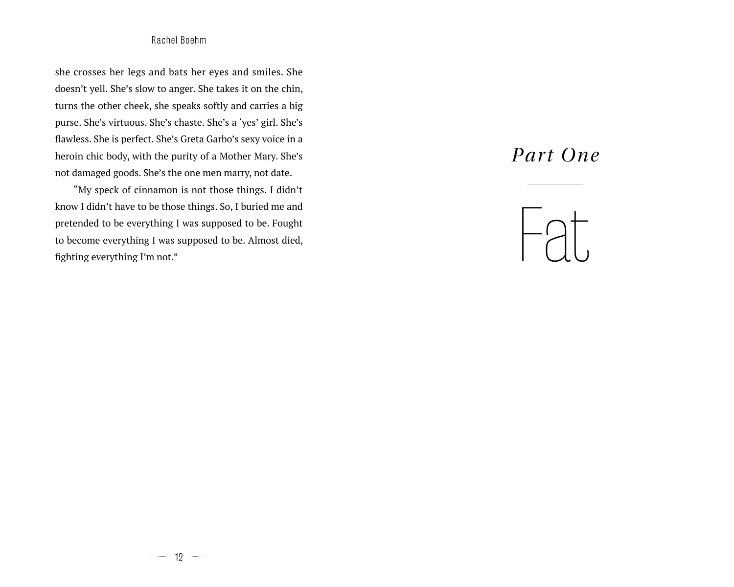she crosses her legs and bats her eyes and smiles. She doesn't yell. She's slow to anger. She takes it on the chin, turns the other cheek, she speaks softly and carries a big purse. She's virtuous. She's chaste. She's a 'yes' girl. She's flawless. She is perfect. She's Greta Garbo's sexy voice in a heroin chic body, with the purity of a Mother Mary. She's not damaged goods. She's the one men marry, not date.

"My speck of cinnamon is not those things. I didn't know I didn't have to be those things. So, I buried me and pretended to be everything I was supposed to be. Fought to become everything I was supposed to be. Almost died, fighting everything I'm not."

## *Part One*

# Fat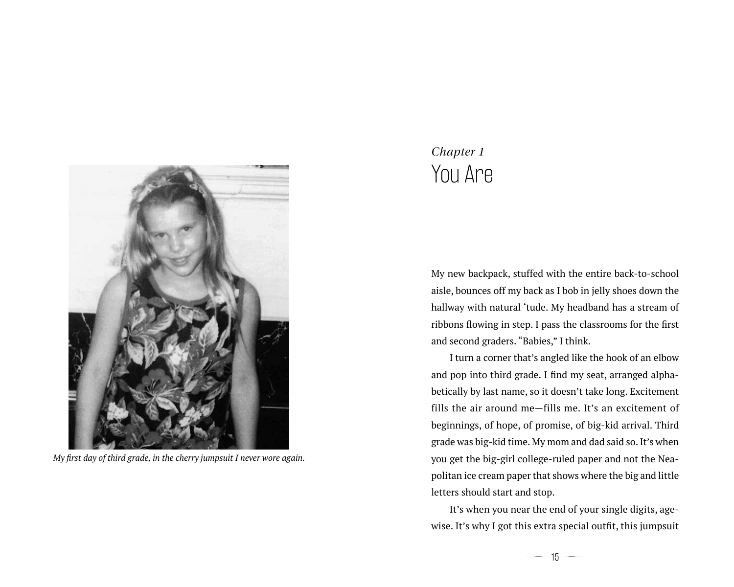

*My first day of third grade, in the cherry jumpsuit I never wore again.*

## *Chapter 1* You Are

My new backpack, stuffed with the entire back-to-school aisle, bounces off my back as I bob in jelly shoes down the hallway with natural 'tude. My headband has a stream of ribbons flowing in step. I pass the classrooms for the first and second graders. "Babies," I think.

I turn a corner that's angled like the hook of an elbow and pop into third grade. I find my seat, arranged alphabetically by last name, so it doesn't take long. Excitement fills the air around me—fills me. It's an excitement of beginnings, of hope, of promise, of big-kid arrival. Third grade was big-kid time. My mom and dad said so. It's when you get the big-girl college-ruled paper and not the Neapolitan ice cream paper that shows where the big and little letters should start and stop.

It's when you near the end of your single digits, agewise. It's why I got this extra special outfit, this jumpsuit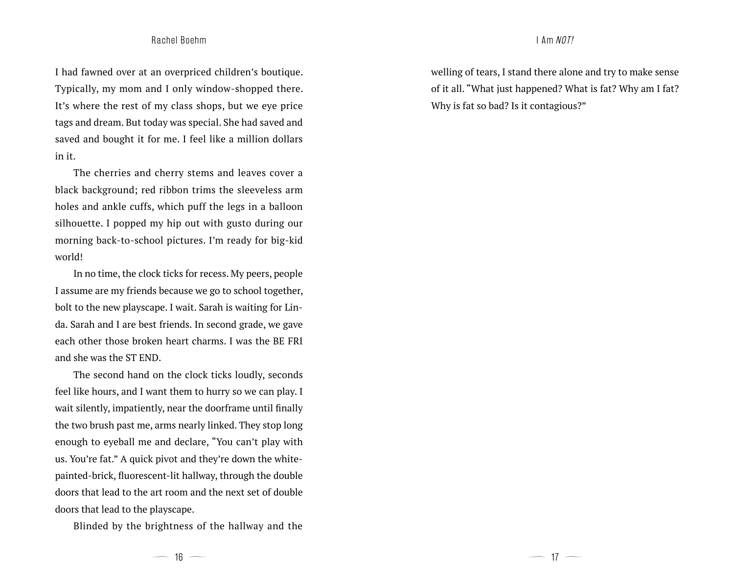#### Rachel Boehm I Am NOT!

I had fawned over at an overpriced children's boutique. Typically, my mom and I only window-shopped there. It's where the rest of my class shops, but we eye price tags and dream. But today was special. She had saved and saved and bought it for me. I feel like a million dollars in it.

The cherries and cherry stems and leaves cover a black background; red ribbon trims the sleeveless arm holes and ankle cuffs, which puff the legs in a balloon silhouette. I popped my hip out with gusto during our morning back-to-school pictures. I'm ready for big-kid world!

In no time, the clock ticks for recess. My peers, people I assume are my friends because we go to school together, bolt to the new playscape. I wait. Sarah is waiting for Linda. Sarah and I are best friends. In second grade, we gave each other those broken heart charms. I was the BE FRI and she was the ST END.

The second hand on the clock ticks loudly, seconds feel like hours, and I want them to hurry so we can play. I wait silently, impatiently, near the doorframe until finally the two brush past me, arms nearly linked. They stop long enough to eyeball me and declare, "You can't play with us. You're fat." A quick pivot and they're down the whitepainted-brick, fluorescent-lit hallway, through the double doors that lead to the art room and the next set of double doors that lead to the playscape.

Blinded by the brightness of the hallway and the

welling of tears, I stand there alone and try to make sense of it all. "What just happened? What is fat? Why am I fat? Why is fat so bad? Is it contagious?"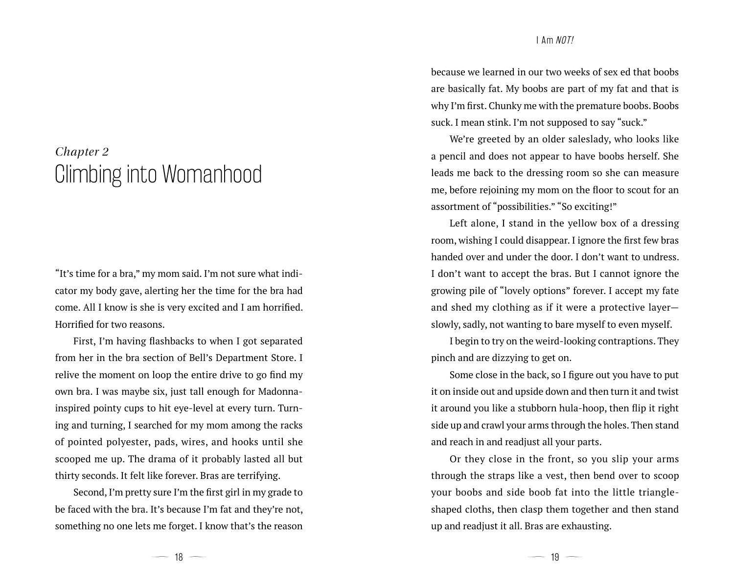## *Chapter 2* Climbing into Womanhood

"It's time for a bra," my mom said. I'm not sure what indicator my body gave, alerting her the time for the bra had come. All I know is she is very excited and I am horrified. Horrified for two reasons.

First, I'm having flashbacks to when I got separated from her in the bra section of Bell's Department Store. I relive the moment on loop the entire drive to go find my own bra. I was maybe six, just tall enough for Madonnainspired pointy cups to hit eye-level at every turn. Turning and turning, I searched for my mom among the racks of pointed polyester, pads, wires, and hooks until she scooped me up. The drama of it probably lasted all but thirty seconds. It felt like forever. Bras are terrifying.

Second, I'm pretty sure I'm the first girl in my grade to be faced with the bra. It's because I'm fat and they're not, something no one lets me forget. I know that's the reason

because we learned in our two weeks of sex ed that boobs are basically fat. My boobs are part of my fat and that is why I'm first. Chunky me with the premature boobs. Boobs suck. I mean stink. I'm not supposed to say "suck."

We're greeted by an older saleslady, who looks like a pencil and does not appear to have boobs herself. She leads me back to the dressing room so she can measure me, before rejoining my mom on the floor to scout for an assortment of "possibilities." "So exciting!"

Left alone, I stand in the yellow box of a dressing room, wishing I could disappear. I ignore the first few bras handed over and under the door. I don't want to undress. I don't want to accept the bras. But I cannot ignore the growing pile of "lovely options" forever. I accept my fate and shed my clothing as if it were a protective layer slowly, sadly, not wanting to bare myself to even myself.

I begin to try on the weird-looking contraptions. They pinch and are dizzying to get on.

Some close in the back, so I figure out you have to put it on inside out and upside down and then turn it and twist it around you like a stubborn hula-hoop, then flip it right side up and crawl your arms through the holes. Then stand and reach in and readjust all your parts.

Or they close in the front, so you slip your arms through the straps like a vest, then bend over to scoop your boobs and side boob fat into the little triangleshaped cloths, then clasp them together and then stand up and readjust it all. Bras are exhausting.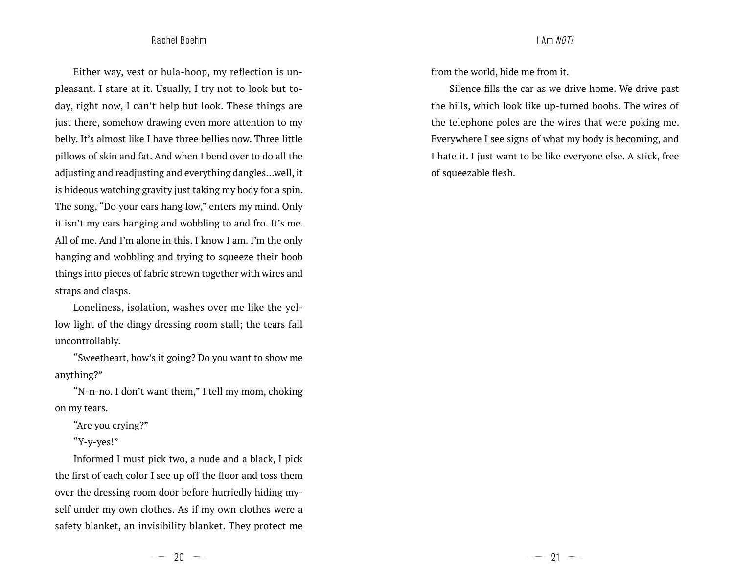Either way, vest or hula-hoop, my reflection is unpleasant. I stare at it. Usually, I try not to look but today, right now, I can't help but look. These things are just there, somehow drawing even more attention to my belly. It's almost like I have three bellies now. Three little pillows of skin and fat. And when I bend over to do all the adjusting and readjusting and everything dangles…well, it is hideous watching gravity just taking my body for a spin. The song, "Do your ears hang low," enters my mind. Only it isn't my ears hanging and wobbling to and fro. It's me. All of me. And I'm alone in this. I know I am. I'm the only hanging and wobbling and trying to squeeze their boob things into pieces of fabric strewn together with wires and straps and clasps.

Loneliness, isolation, washes over me like the yellow light of the dingy dressing room stall; the tears fall uncontrollably.

"Sweetheart, how's it going? Do you want to show me anything?"

"N-n-no. I don't want them," I tell my mom, choking on my tears.

"Are you crying?"

"Y-y-yes!"

Informed I must pick two, a nude and a black, I pick the first of each color I see up off the floor and toss them over the dressing room door before hurriedly hiding myself under my own clothes. As if my own clothes were a safety blanket, an invisibility blanket. They protect me

from the world, hide me from it.

Silence fills the car as we drive home. We drive past the hills, which look like up-turned boobs. The wires of the telephone poles are the wires that were poking me. Everywhere I see signs of what my body is becoming, and I hate it. I just want to be like everyone else. A stick, free of squeezable flesh.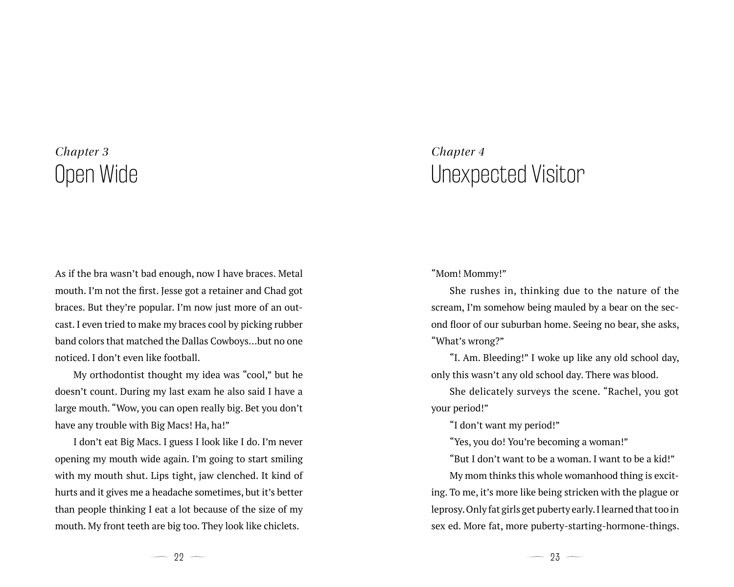## *Chapter 3* Open Wide

As if the bra wasn't bad enough, now I have braces. Metal mouth. I'm not the first. Jesse got a retainer and Chad got braces. But they're popular. I'm now just more of an outcast. I even tried to make my braces cool by picking rubber band colors that matched the Dallas Cowboys…but no one noticed. I don't even like football.

My orthodontist thought my idea was "cool," but he doesn't count. During my last exam he also said I have a large mouth. "Wow, you can open really big. Bet you don't have any trouble with Big Macs! Ha, ha!"

I don't eat Big Macs. I guess I look like I do. I'm never opening my mouth wide again. I'm going to start smiling with my mouth shut. Lips tight, jaw clenched. It kind of hurts and it gives me a headache sometimes, but it's better than people thinking I eat a lot because of the size of my mouth. My front teeth are big too. They look like chiclets.

## *Chapter 4* Unexpected Visitor

"Mom! Mommy!"

She rushes in, thinking due to the nature of the scream, I'm somehow being mauled by a bear on the second floor of our suburban home. Seeing no bear, she asks, "What's wrong?"

"I. Am. Bleeding!" I woke up like any old school day, only this wasn't any old school day. There was blood.

She delicately surveys the scene. "Rachel, you got your period!"

"I don't want my period!"

"Yes, you do! You're becoming a woman!"

"But I don't want to be a woman. I want to be a kid!"

My mom thinks this whole womanhood thing is exciting. To me, it's more like being stricken with the plague or leprosy. Only fat girls get puberty early. I learned that too in sex ed. More fat, more puberty-starting-hormone-things.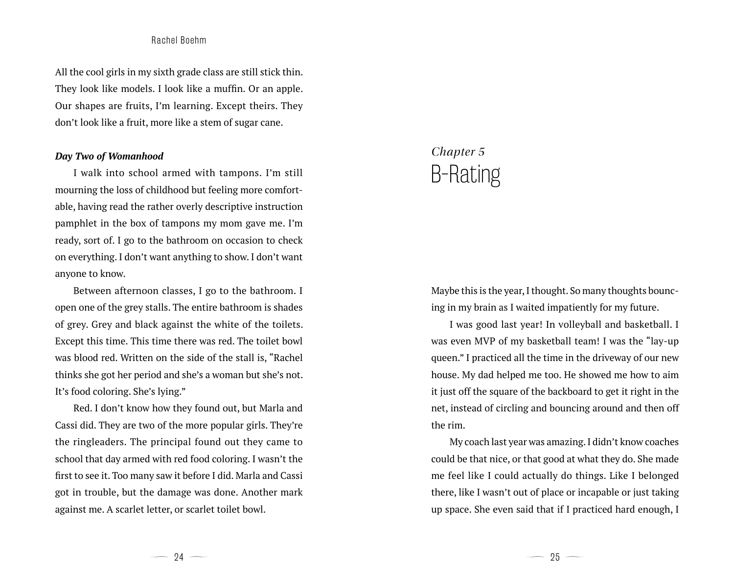All the cool girls in my sixth grade class are still stick thin. They look like models. I look like a muffin. Or an apple. Our shapes are fruits, I'm learning. Except theirs. They don't look like a fruit, more like a stem of sugar cane.

#### *Day Two of Womanhood*

I walk into school armed with tampons. I'm still mourning the loss of childhood but feeling more comfortable, having read the rather overly descriptive instruction pamphlet in the box of tampons my mom gave me. I'm ready, sort of. I go to the bathroom on occasion to check on everything. I don't want anything to show. I don't want anyone to know.

Between afternoon classes, I go to the bathroom. I open one of the grey stalls. The entire bathroom is shades of grey. Grey and black against the white of the toilets. Except this time. This time there was red. The toilet bowl was blood red. Written on the side of the stall is, "Rachel thinks she got her period and she's a woman but she's not. It's food coloring. She's lying."

Red. I don't know how they found out, but Marla and Cassi did. They are two of the more popular girls. They're the ringleaders. The principal found out they came to school that day armed with red food coloring. I wasn't the first to see it. Too many saw it before I did. Marla and Cassi got in trouble, but the damage was done. Another mark against me. A scarlet letter, or scarlet toilet bowl.

## *Chapter 5* B-Rating

Maybe this is the year, I thought. So many thoughts bouncing in my brain as I waited impatiently for my future.

I was good last year! In volleyball and basketball. I was even MVP of my basketball team! I was the "lay-up queen." I practiced all the time in the driveway of our new house. My dad helped me too. He showed me how to aim it just off the square of the backboard to get it right in the net, instead of circling and bouncing around and then off the rim.

My coach last year was amazing. I didn't know coaches could be that nice, or that good at what they do. She made me feel like I could actually do things. Like I belonged there, like I wasn't out of place or incapable or just taking up space. She even said that if I practiced hard enough, I

 $-94 -$ 

 $-$  25  $-$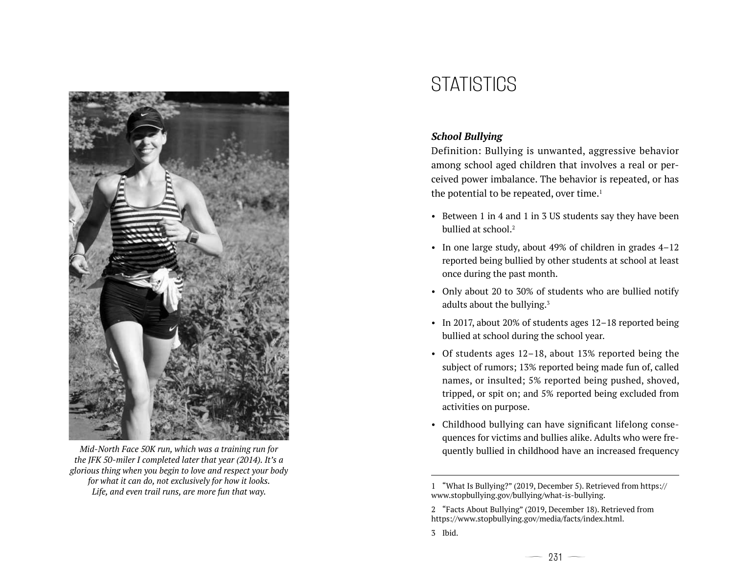

*Mid-North Face 50K run, which was a training run for the JFK 50-miler I completed later that year (2014). It's a glorious thing when you begin to love and respect your body for what it can do, not exclusively for how it looks. Life, and even trail runs, are more fun that way.*

## **STATISTICS**

### *School Bullying*

Definition: Bullying is unwanted, aggressive behavior among school aged children that involves a real or perceived power imbalance. The behavior is repeated, or has the potential to be repeated, over time. $<sup>1</sup>$ </sup>

- Between 1 in 4 and 1 in 3 US students say they have been bullied at school.<sup>2</sup>
- In one large study, about 49% of children in grades 4–12 reported being bullied by other students at school at least once during the past month.
- Only about 20 to 30% of students who are bullied notify adults about the bullying.<sup>3</sup>
- In 2017, about 20% of students ages 12–18 reported being bullied at school during the school year.
- Of students ages 12–18, about 13% reported being the subject of rumors; 13% reported being made fun of, called names, or insulted; 5% reported being pushed, shoved, tripped, or spit on; and 5% reported being excluded from activities on purpose.
- Childhood bullying can have significant lifelong consequences for victims and bullies alike. Adults who were frequently bullied in childhood have an increased frequency

3 Ibid.

<sup>1</sup> "What Is Bullying?" (2019, December 5). Retrieved from https:// www.stopbullying.gov/bullying/what-is-bullying.

<sup>2</sup> "Facts About Bullying" (2019, December 18). Retrieved from https://www.stopbullying.gov/media/facts/index.html.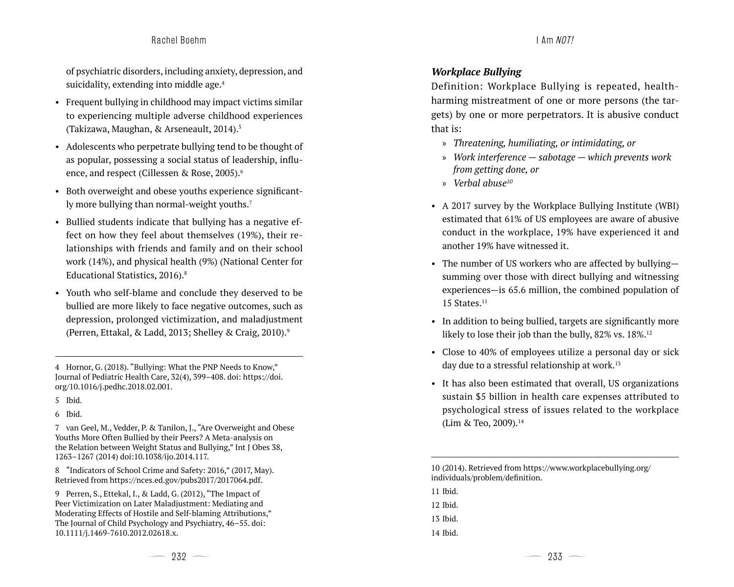#### Rachel Boehm I Am NOT!

of psychiatric disorders, including anxiety, depression, and suicidality, extending into middle age.<sup>4</sup>

- Frequent bullying in childhood may impact victims similar to experiencing multiple adverse childhood experiences (Takizawa, Maughan, & Arseneault, 2014).<sup>5</sup>
- Adolescents who perpetrate bullying tend to be thought of as popular, possessing a social status of leadership, influence, and respect (Cillessen & Rose, 2005).<sup>6</sup>
- Both overweight and obese youths experience significantly more bullying than normal-weight youths.<sup>7</sup>
- Bullied students indicate that bullying has a negative effect on how they feel about themselves (19%), their relationships with friends and family and on their school work (14%), and physical health (9%) (National Center for Educational Statistics, 2016).8
- Youth who self-blame and conclude they deserved to be bullied are more likely to face negative outcomes, such as depression, prolonged victimization, and maladjustment (Perren, Ettakal, & Ladd, 2013; Shelley & Craig, 2010).9

4 Hornor, G. (2018). "Bullying: What the PNP Needs to Know," Journal of Pediatric Health Care, 32(4), 399–408. doi: https://doi. org/10.1016/j.pedhc.2018.02.001.

- 5 Ibid.
- 6 Ibid.

7 van Geel, M., Vedder, P. & Tanilon, J., "Are Overweight and Obese Youths More Often Bullied by their Peers? A Meta-analysis on the Relation between Weight Status and Bullying," Int J Obes 38, 1263–1267 (2014) doi:10.1038/ijo.2014.117.

8 "Indicators of School Crime and Safety: 2016," (2017, May). Retrieved from https://nces.ed.gov/pubs2017/2017064.pdf.

9 Perren, S., Ettekal, I., & Ladd, G. (2012), "The Impact of Peer Victimization on Later Maladjustment: Mediating and Moderating Effects of Hostile and Self-blaming Attributions," The Journal of Child Psychology and Psychiatry, 46–55. doi: 10.1111/j.1469-7610.2012.02618.x.

#### *Workplace Bullying*

Definition: Workplace Bullying is repeated, healthharming mistreatment of one or more persons (the targets) by one or more perpetrators. It is abusive conduct that is:

- » *Threatening, humiliating, or intimidating, or*
- » *Work interference sabotage which prevents work from getting done, or*
- » *Verbal abuse10*
- A 2017 survey by the Workplace Bullying Institute (WBI) estimated that 61% of US employees are aware of abusive conduct in the workplace, 19% have experienced it and another 19% have witnessed it.
- The number of US workers who are affected by bullyingsumming over those with direct bullying and witnessing experiences—is 65.6 million, the combined population of  $15$  States. $^{11}$
- In addition to being bullied, targets are significantly more likely to lose their job than the bully, 82% vs. 18%.<sup>12</sup>
- Close to 40% of employees utilize a personal day or sick day due to a stressful relationship at work.<sup>13</sup>
- It has also been estimated that overall, US organizations sustain \$5 billion in health care expenses attributed to psychological stress of issues related to the workplace (Lim & Teo, 2009).<sup>14</sup>

10 (2014). Retrieved from https://www.workplacebullying.org/ individuals/problem/definition.

11 Ibid. 12 Ibid. 13 Ibid. 14 Ibid.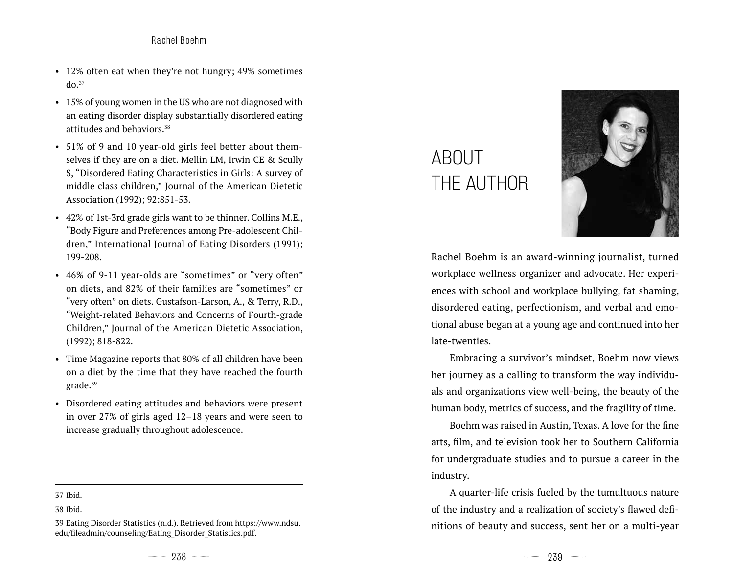- 12% often eat when they're not hungry; 49% sometimes  $do.<sup>37</sup>$
- 15% of young women in the US who are not diagnosed with an eating disorder display substantially disordered eating attitudes and behaviors.38
- 51% of 9 and 10 year-old girls feel better about themselves if they are on a diet. Mellin LM, Irwin CE & Scully S, "Disordered Eating Characteristics in Girls: A survey of middle class children," Journal of the American Dietetic Association (1992); 92:851-53.
- 42% of 1st-3rd grade girls want to be thinner. Collins M.E., "Body Figure and Preferences among Pre-adolescent Children," International Journal of Eating Disorders (1991); 199-208.
- 46% of 9-11 year-olds are "sometimes" or "very often" on diets, and 82% of their families are "sometimes" or "very often" on diets. Gustafson-Larson, A., & Terry, R.D., "Weight-related Behaviors and Concerns of Fourth-grade Children," Journal of the American Dietetic Association, (1992); 818-822.
- Time Magazine reports that 80% of all children have been on a diet by the time that they have reached the fourth grade.<sup>39</sup>
- Disordered eating attitudes and behaviors were present in over 27% of girls aged 12–18 years and were seen to increase gradually throughout adolescence.
- 37 Ibid.

# ABOUT THE AUTHOR



Rachel Boehm is an award-winning journalist, turned workplace wellness organizer and advocate. Her experiences with school and workplace bullying, fat shaming, disordered eating, perfectionism, and verbal and emotional abuse began at a young age and continued into her late-twenties.

Embracing a survivor's mindset, Boehm now views her journey as a calling to transform the way individuals and organizations view well-being, the beauty of the human body, metrics of success, and the fragility of time.

Boehm was raised in Austin, Texas. A love for the fine arts, film, and television took her to Southern California for undergraduate studies and to pursue a career in the industry.

A quarter-life crisis fueled by the tumultuous nature of the industry and a realization of society's flawed definitions of beauty and success, sent her on a multi-year

<sup>38</sup> Ibid.

<sup>39</sup> Eating Disorder Statistics (n.d.). Retrieved from https://www.ndsu. edu/fileadmin/counseling/Eating\_Disorder\_Statistics.pdf.